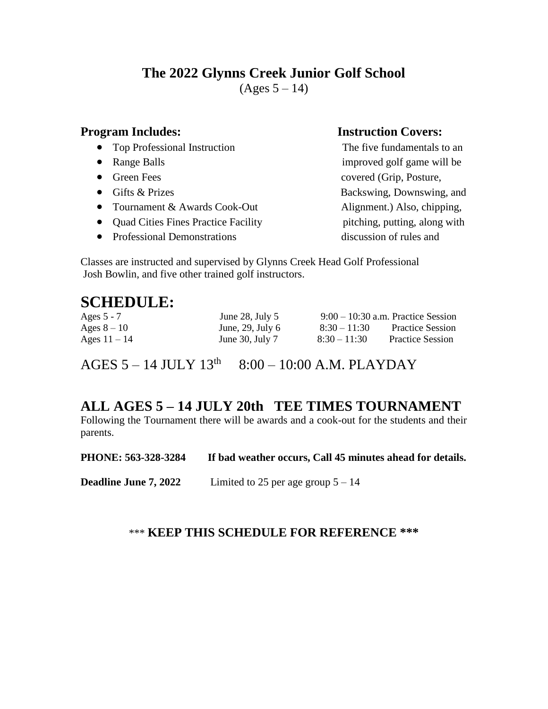# **The 2022 Glynns Creek Junior Golf School**

 $(Ages 5 – 14)$ 

- Top Professional Instruction The five fundamentals to an
- 
- 
- 
- Tournament & Awards Cook-Out Alignment.) Also, chipping,
- Quad Cities Fines Practice Facility pitching, putting, along with
- Professional Demonstrations discussion of rules and

### **Program Includes:** Instruction Covers:

• Range Balls improved golf game will be • Green Fees covered (Grip, Posture, • Gifts & Prizes Backswing, Downswing, and

Classes are instructed and supervised by Glynns Creek Head Golf Professional Josh Bowlin, and five other trained golf instructors.

# **SCHEDULE:**

| Ages $5 - 7$   | June 28, July $5$    | $9:00-10:30$ a.m. Practice Session |                         |
|----------------|----------------------|------------------------------------|-------------------------|
| Ages $8-10$    | June, 29, July $6$   | $8:30-11:30$                       | <b>Practice Session</b> |
| Ages $11 - 14$ | June $30$ , July $7$ | $8:30 - 11:30$                     | <b>Practice Session</b> |

AGES  $5 - 14$  JULY  $13<sup>th</sup>$  8:00 – 10:00 A.M. PLAYDAY

# **ALL AGES 5 – 14 JULY 20th TEE TIMES TOURNAMENT**

Following the Tournament there will be awards and a cook-out for the students and their parents.

| PHONE: 563-328-3284          | If bad weather occurs, Call 45 minutes ahead for details. |
|------------------------------|-----------------------------------------------------------|
| <b>Deadline June 7, 2022</b> | Limited to 25 per age group $5 - 14$                      |

## \*\*\* **KEEP THIS SCHEDULE FOR REFERENCE \*\*\***